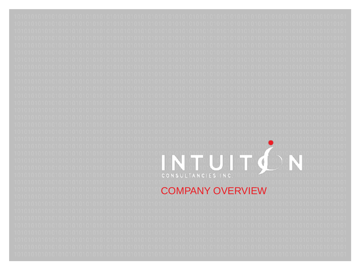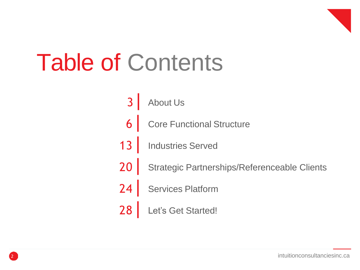

## Table of Contents

- $3<sup>1</sup>$ About Us
- $6<sup>1</sup>$ Core Functional Structure
- <sup>13</sup> | Industries Served
- <sup>20</sup> | Strategic Partnerships/Referenceable Clients
- <sup>24</sup> | Services Platform
- <sup>28</sup> | Let's Get Started!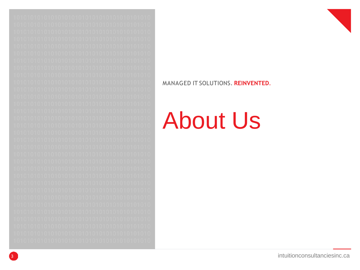



### **About Us**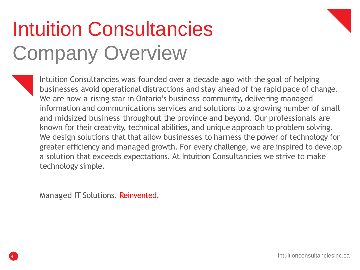### Intuition Consultancies Company Overview

Intuition Consultancies was founded over a decade ago with the goal of helping businesses avoid operational distractions and stay ahead of the rapid pace of change. We are now a rising star in Ontario's business community, delivering managed information and communications services and solutions to a growing number of small and midsized business throughout the province and beyond. Our professionals are known for their creativity, technical abilities, and unique approach to problem solving. We design solutions that that allow businesses to harness the power of technology for greater efficiency and managed growth. For every challenge, we are inspired to develop a solution that exceeds expectations. At Intuition Consultancies we strive to make technology simple.

Managed IT Solutions. Reinvented.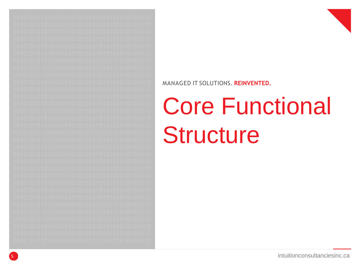



# Core Functional **Structure**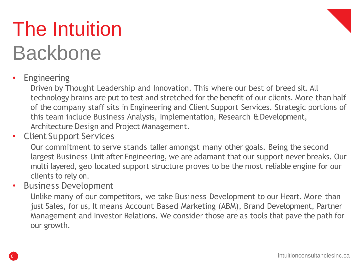### The Intuition Backbone



### **Engineering**

Driven by Thought Leadership and Innovation. This where our best of breed sit. All technology brains are put to test and stretched for the benefit of our clients. More than half of the company staff sits in Engineering and Client Support Services. Strategic portions of this team include Business Analysis, Implementation, Research & Development, Architecture Design and Project Management.

• Client Support Services

Our commitment to serve stands taller amongst many other goals. Being the second largest Business Unit after Engineering, we are adamant that our support never breaks. Our multi layered, geo located support structure proves to be the most reliable engine for our clients to rely on.

• Business Development

Unlike many of our competitors, we take Business Development to our Heart. More than just Sales, for us, It means Account Based Marketing (ABM), Brand Development, Partner Management and Investor Relations. We consider those are as tools that pave the path for our growth.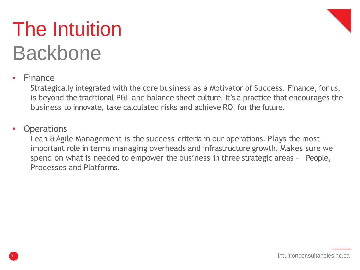### The Intuition Backbone



### • Finance

Strategically integrated with the core business as a Motivator of Success. Finance, for us, is beyond the traditional P&L and balance sheet culture. It's a practice that encourages the business to innovate, take calculated risks and achieve ROI for the future.

#### **Operations**

Lean & Agile Management is the success criteria in our operations. Plays the most important role in terms managing overheads and infrastructure growth. Makes sure we spend on what is needed to empower the business in three strategic areas – People, Processes and Platforms.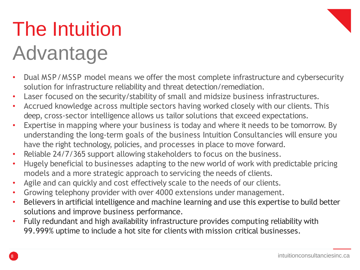# The Intuition

### Advantage

- Dual MSP/MSSP model means we offer the most complete infrastructure and cybersecurity solution for infrastructure reliability and threat detection/remediation.
- Laser focused on the security/stability of small and midsize business infrastructures.
- Accrued knowledge across multiple sectors having worked closely with our clients. This deep, cross-sector intelligence allows us tailor solutions that exceed expectations.
- Expertise in mapping where your business is today and where it needs to be tomorrow. By understanding the long-term goals of the business Intuition Consultancies will ensure you have the right technology, policies, and processes in place to move forward.
- Reliable 24/7/365 support allowing stakeholders to focus on the business.
- Hugely beneficial to businesses adapting to the new world of work with predictable pricing models and a more strategic approach to servicing the needs of clients.
- Agile and can quickly and cost effectively scale to the needs of our clients.
- Growing telephony provider with over 4000 extensions under management.
- Believers in artificial intelligence and machine learning and use this expertise to build better solutions and improve business performance.
- Fully redundant and high availability infrastructure provides computing reliability with 99.999% uptime to include a hot site for clients with mission critical businesses.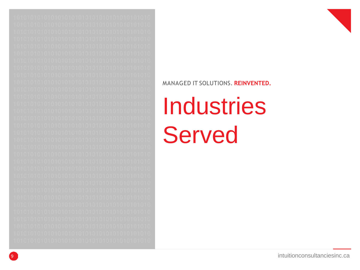



# **Industries Served**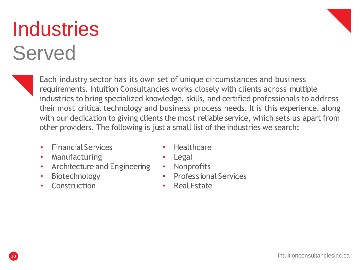#### intuitionconsultanciesinc.ca

### **Industries** Served

Each industry sector has its own set of unique circumstances and business requirements. Intuition Consultancies works closely with clients across multiple industries to bring specialized knowledge, skills, and certified professionals to address their most critical technology and business process needs. It is this experience, along with our dedication to giving clients the most reliable service, which sets us apart from other providers. The following is just a small list of the industries we search:

- Financial Services
- Manufacturing
- Architecture and Engineering
- Biotechnology
- Construction
- Healthcare
- Legal
- Nonprofits
- Professional Services
- **Real Estate**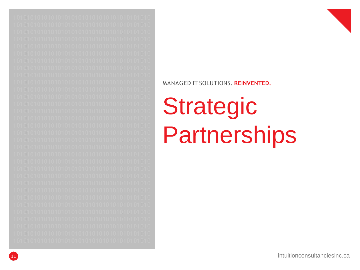



# **Strategic<br>Partnerships**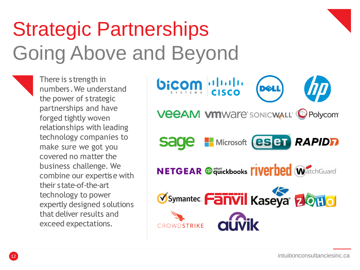### Strategic Partnerships Going Above and Beyond

There is strength in numbers.We understand the power of strategic partnerships and have forged tightly woven relationships with leading technology companies to make sure we got you covered no matter the business challenge. We combine our expertise with their state-of-the-art technology to power expertly designed solutions that deliver results and exceed expectations.

bicom disco **VEEAM VMWAre** SONICWALL CPolycom **H** Microsoft (**eset RAPIDF**) sage **NETGEAR @ quickbooks. [IVEFDED** WatchGuardi **Øsymantec. Fanvil Kaseya 2010** CROWDSTRIKE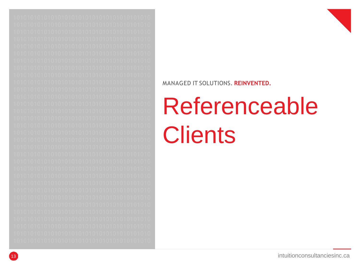



# Referenceable **Clients**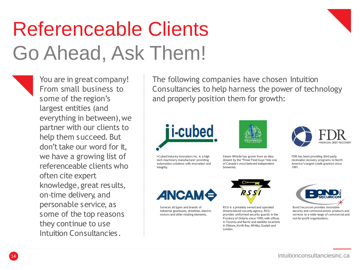### Referenceable Clients Go Ahead, Ask Them!



The following companies have chosen Intuition Consultancies to help harness the power of technology and properly position them for growth:



I-Cubed Industry Innovators Inc. is a high tech machinery manufacturer providing automation solutions with innovation and integrity.



Steam Whistle has grown from an idea dreamt by the "Three Fired Guys"into one of Canada's most beloved independent breweries.

FDR has been providing third party receivable recovery programs to North America's largest credit grantors since

1991.

ANCAMÓ

Services all types and brands of industrial gearboxes, drivelines, electric motors and other rotating elements.



RSSI is a privately owned and operated Ontario-based security agency.RSSI provides uniformed security guards in the Province of Ontario since 1990, with offices in Toronto and Barrie and satellite locations in Ottawa, North Bay, Whitby, Guelph and London.





Bond Securcom provides innovative security and communications products and services to a wide range of commercial and not-for-profit organizations.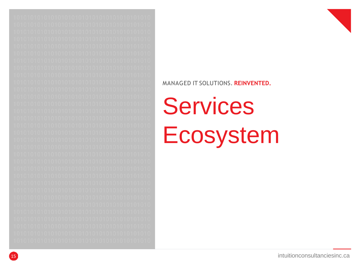



# **Services** Ecosystem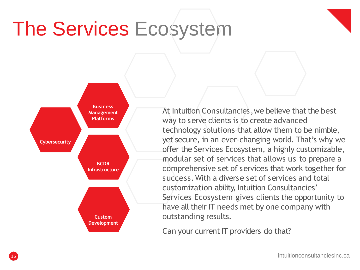### The Services Ecosystem



At Intuition Consultancies, we believe that the best way to serve clients is to create advanced technology solutions that allow them to be nimble, yet secure, in an ever-changing world. That's why we offer the Services Ecosystem, a highly customizable, modular set of services that allows us to prepare a comprehensive set of services that work together for success.With a diverse set of services and total customization ability, Intuition Consultancies' Services Ecosystem gives clients the opportunity to have all their IT needs met by one company with outstanding results.

Can your current IT providers do that?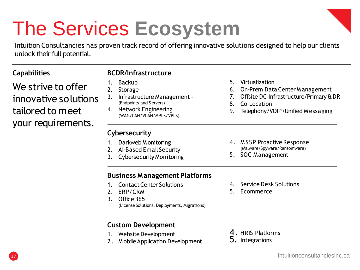### The Services **Ecosystem**

Intuition Consultancies has proven track record of offering innovative solutions designed to help our clients unlock their full potential.

| <b>Capabilities</b> |  |
|---------------------|--|
|---------------------|--|

We strive to offer innovative solutions tailored to meet your requirements.

#### **BCDR/Infrastructure**

- 1. Backup
- 2. Storage
- 3. Infrastructure Management- (Endpoints and Servers)
- 4. Network Engineering (WAN/LAN/VLAN/MPLS/VPLS)

#### **Cybersecurity**

- 1. Darkweb M onitoring
- 2. AI-Based Email Security
- 3. Cybersecurity Monitoring
- 5. Virtualization
- 6. On-Prem Data Center M anagement
- 7. Offsite DC Infrastructure/Primary & DR
- 8. Co-Location
- 9. Telephony/VOIP/Unified M essaging
- 4. M SSP Proactive Response (Malware/Spyware/Ransomware)
- 5. SOC Management

#### **Business Management Platforms**

- 1. Contact Center Solutions
- 2. ERP/CRM
- 3. Office 365 (License Solutions, Deployments, Migrations)
- 4. Service Desk Solutions
- 5. Ecommerce

#### **Custom Development**

- 1. Website Development
- 2. M obile Application Development
- 4. HRIS Platforms
- 5. Integrations

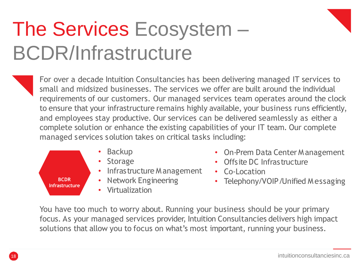### The Services Ecosystem – BCDR/Infrastructure

For over a decade Intuition Consultancies has been delivering managed IT services to small and midsized businesses. The services we offer are built around the individual requirements of our customers. Our managed services team operates around the clock to ensure that your infrastructure remains highly available, your business runs efficiently, and employees stay productive. Our services can be delivered seamlessly as either a complete solution or enhance the existing capabilities of your IT team. Our complete managed services solution takes on critical tasks including:



- On-Prem Data Center Management
- Offsite DC Infrastructure
- Co-Location
- Telephony/VOIP/Unified Messaging

You have too much to worry about. Running your business should be your primary focus. As your managed services provider, Intuition Consultancies delivers high impact solutions that allow you to focus on what's most important, running your business.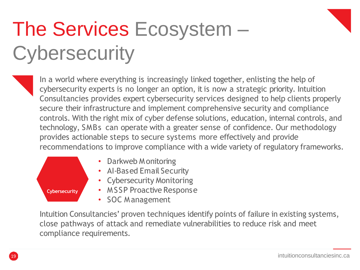### The Services Ecosystem – **Cybersecurity**

In a world where everything is increasingly linked together, enlisting the help of cybersecurity experts is no longer an option, it is now a strategic priority. Intuition Consultancies provides expert cybersecurity services designed to help clients properly secure their infrastructure and implement comprehensive security and compliance controls. With the right mix of cyber defense solutions, education, internal controls, and technology, SMBs can operate with a greater sense of confidence. Our methodology provides actionable steps to secure systems more effectively and provide recommendations to improve compliance with a wide variety of regulatory frameworks.



Intuition Consultancies' proven techniques identify points of failure in existing systems, close pathways of attack and remediate vulnerabilities to reduce risk and meet compliance requirements.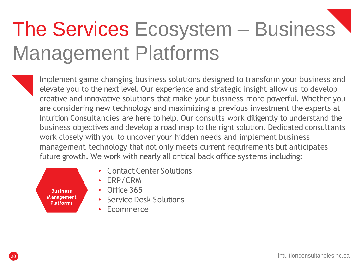# The Services Ecosystem – Business Management Platforms

Implement game changing business solutions designed to transform your business and elevate you to the next level. Our experience and strategic insight allow us to develop creative and innovative solutions that make your business more powerful. Whether you are considering new technology and maximizing a previous investment the experts at Intuition Consultancies are here to help. Our consults work diligently to understand the business objectives and develop a road map to the right solution. Dedicated consultants work closely with you to uncover your hidden needs and implement business management technology that not only meets current requirements but anticipates future growth. We work with nearly all critical back office systems including:



- **Contact Center Solutions**
- ERP/CRM
- Office 365
- Service Desk Solutions
- **Ecommerce**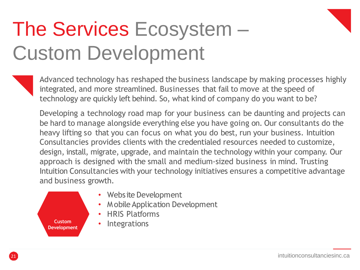### The Services Ecosystem – Custom Development

Advanced technology has reshaped the business landscape by making processes highly integrated, and more streamlined. Businesses that fail to move at the speed of technology are quickly left behind. So, what kind of company do you want to be?

Developing a technology road map for your business can be daunting and projects can be hard to manage alongside everything else you have going on. Our consultants do the heavy lifting so that you can focus on what you do best, run your business. Intuition Consultancies provides clients with the credentialed resources needed to customize, design, install, migrate, upgrade, and maintain the technology within your company. Our approach is designed with the small and medium-sized business in mind. Trusting Intuition Consultancies with your technology initiatives ensures a competitive advantage and business growth.



intuitionconsultanciesinc.ca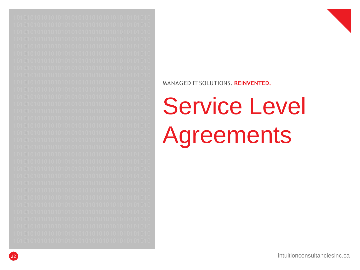



# **Service Level** Agreements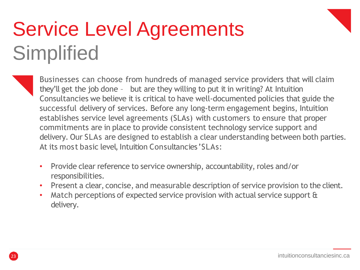### Service Level Agreements **Simplified**

- Businesses can choose from hundreds of managed service providers that will claim they'll get the job done – but are they willing to put it in writing? At Intuition Consultancies we believe it is critical to have well-documented policies that guide the successful delivery of services. Before any long-term engagement begins, Intuition establishes service level agreements (SLAs) with customers to ensure that proper commitments are in place to provide consistent technology service support and delivery. Our SLAs are designed to establish a clear understanding between both parties. At its most basic level, Intuition Consultancies' SLAs:
- Provide clear reference to service ownership, accountability, roles and/or responsibilities.
- Present a clear, concise, and measurable description of service provision to the client.
- Match perceptions of expected service provision with actual service support & delivery.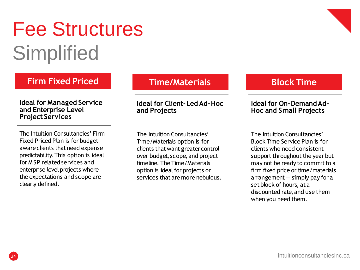### Fee Structures **Simplified**

### **Firm Fixed Priced**

#### **Ideal for Managed Service and Enterprise Level Project Services**

The Intuition Consultancies' Firm Fixed Priced Plan is for budget aware clients that need expense predictability. This option is ideal for MSP related services and enterprise level projects where the expectations and scope are clearly defined.

### **Time/Materials**

#### **Ideal for Client-LedAd-Hoc and Projects**

The Intuition Consultancies' Time/Materials option is for clients thatwant greatercontrol over budget, scope, and project timeline. The Time/Materials option is ideal for projects or services that are more nebulous.

### **Block Time**

#### **Ideal for On-DemandAd-Hoc and Small Projects**

The Intuition Consultancies' Block Time Service Plan is for clients who need consistent support throughout the year but may not be ready to commit to a firm fixed price or time/materials  $\arctan$  arrangement  $-$  simply pay for a set block of hours, at a discounted rate, and use them when you need them.